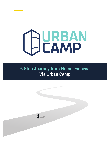# **URBAN CAMP**

**URBAN CAMP**

# 6 Step Journey from Homelessness Via Urban Camp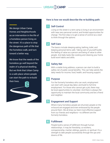We design Urban Camp Homes and Neighborhoods as an intervention in the life of a homeless person living on the street. It's a place to stop the dangerous path of life that the homeless walk, and turn toward a better way.

We know that the needs of the homeless go well beyond the realm of a physical dwelling. But we think that Urban Camp is a safe place where people can start the path to re-build their lives.



# Here is how we would describe the re-building path:

## Self-Control

**1**

Living on the street in a tent camp is living in an environment with near-zero personal control, and limited opportunities for change. The first step is to get a sense of control as a start to think through the options.

#### Self-Care **2**

The basics include sleeping eating, bathing, toilet, and keeping personal items safe. Taking care of yourself builds the feeling of value as a person and being of value to other people. And daily tasks like cooking and cleaning your home build work habits and skills.

#### Safety Net **3**

With a stable living address, a person can start to build a safety net of public social benefits. This can help satisfy the daily needs for income, food, health, and housing support.

#### Purpose **4**

For the formerly homeless who can work, employment can start with casual day labor, and build to full time employment. For those who cannot get a job, there may be local opportunities to volunteer. And there is always the opportunity to maintain the local community and be a friend and neighbor.

#### Engagement and Support **5**

Where many homeless people are shunned, people on the re-bound are engaged and even embraced by the people around them. We all draw our best most effective support from our friends and neighbors—no different are the formerly homeless.

#### Fulfillment **6**

People build a sense of fulfillment through human relationships. It may be friendship, co-workers, companionship, marital, siblings, parents, or spiritual. It's a strength to take people successfully through the ups and downs of life.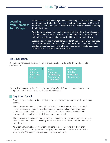

**URBAN**

# Learning from Homeless Tent Camps

**CAMP** What we learn from observing homeless tent camps is that the homeless do not live solitary. Rather they form in relatively small groups of 8–10 tents. In some cases contiguous groups will form into an dozens or even an alarming hundreds of tents.

Why do the homeless form small groups? Likely it starts with simple security against violence and theft. But likely also a natural human desire to bond with other people, and maybe a sense that life will be better that way.

A second question is: Why are Homeless Tent Camp located where they are? Tent camps are often located on the boundaries of good commercial and residential neighborhoods, where the homeless have access to resources, and the small scale of the camps is tolerated.

## Via Urban Camp

Urban Camp homes are designed for small groupings of about 10 units. This works for a few good reasons:

| Human<br><b>Nature to</b><br>form Small<br><b>Groups</b> | <b>Small</b><br><b>Groupings</b><br><b>Tolerated by</b><br>Surrounding<br><b>Community</b> | <b>Efficiency</b><br>of Utility<br>Service and<br>Management |
|----------------------------------------------------------|--------------------------------------------------------------------------------------------|--------------------------------------------------------------|
|----------------------------------------------------------|--------------------------------------------------------------------------------------------|--------------------------------------------------------------|

For now, lets focus on the first "Human Nature to Form Small Groups", to understand why the 6 Step Via Urban Camp is the best path from Homelessness.

#### Step 1: Self Control

For any person in crisis, the first step is to stop the downward momentum and re-gain some control.

The homeless tent camp environment has its benefits of extreme low cost, community, and some access to resources whether earned, donated, or taken. Primary amongst its drawbacks are threats from violence, theft, displacement, and the exposure to the environment leading to discomfort, illness, and perhaps death.

The homeless person in a tent camp has near zero control over the environment in order to meet its most basic needs for security and subsistence. It is difficult to think of much else from this place.

An Urban Camp dwelling is first a "personal control space" meaning that the formerly homeless person has a key to a secure, dry, and temperature controlled environment in which to live. And along with that a responsibility to care for it.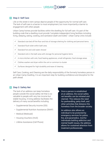

#### Step 2: Self Care **2**

 Life on the street in tent camps deprive people of the opportunity for normal self care. The lack of self-care is a barrier to most employment, but more importantly a barrier to engagement with other people.

Urban Camp homes provide facilities within the dwelling for full self care. It's part of the building code that a dwelling must provide "complete independent living facilities including living, sleeping, eating, cooking, and sanitation (bath and toilet)". Urban Camp Units include:

| ✓ | Standard size bed off the floor and lots of storage shelving for clothing and personal items. | 브                |
|---|-----------------------------------------------------------------------------------------------|------------------|
|   | Standard flush toilet within bath area.                                                       |                  |
| ✓ | Standard hot and cold water shower                                                            | ≘                |
| ✓ | Standard sink in the bath area with storage for personal hygiene items                        | $\sum_{j=1}^{n}$ |
| ✓ | A micro kitchen with sink, food heating appliances, small refrigerator, food storage areas    |                  |
| ✓ | Clothes washer and dryer within the unit or common to cluster                                 |                  |
|   | Surfaces designed for high durability and ease of cleaning                                    |                  |

Self Care, Cooking, and Cleaning are the daily responsibility of the formerly homeless person in an Urban Camp Dwelling. It is an important step for building confidence and discipline for the path ahead.

## Step 3: Safety Net **3**

 The lack of an address can keep homeless people outside the social safety net that is so valuable to people with very low income but stable housing. A living address facilitates the delivery of many social benefits including:

- Supplemental Security Income (SSI)
- Supplemental Nutrition Assistance (SNAP)
- Medical (Medicaid)
- Housing Vouchers (HUD)
- Lifeline Assistance (Cell Phone)

Once a person is established at an address, the social safety net benefits can be initiated and claimed. This reduces the need for panhandling, petty theft, and other activities that distance the homeless from the broader society.

An address also allows an individual to be protected by emergency services for police, fire, and paramedics. And for individuals battling addiction and mental health issues, the address allows for sustained attention from treatment professionals.